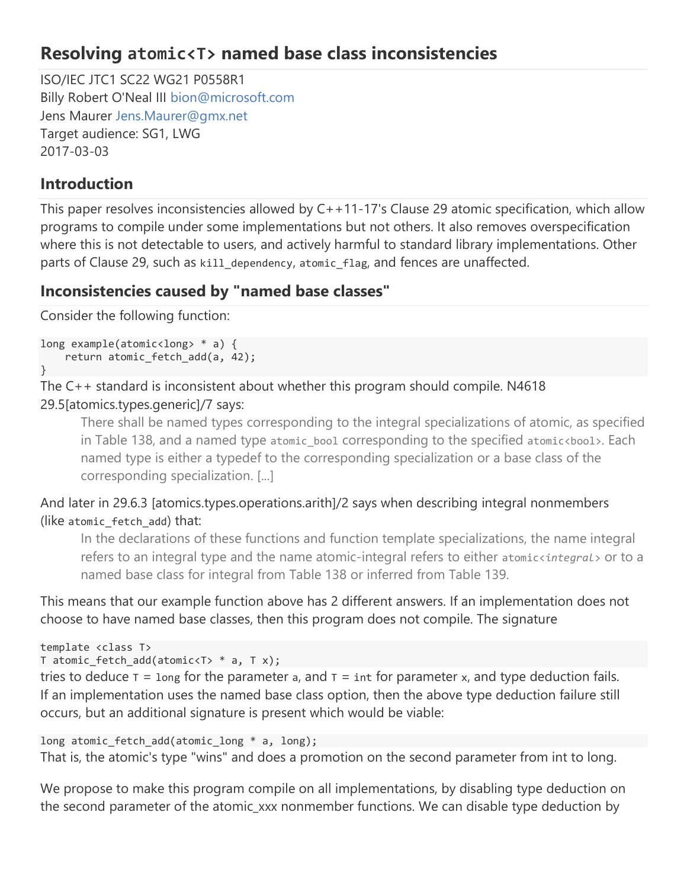# Resolving atomic<T> named base class inconsistencies

ISO/IEC JTC1 SC22 WG21 P0558R1 Billy Robert O'Neal III bion@microsoft.com Jens Maurer Jens.Maurer@gmx.net Target audience: SG1, LWG 2017-03-03

# Introduction

This paper resolves inconsistencies allowed by C++11-17's Clause 29 atomic specification, which allow programs to compile under some implementations but not others. It also removes overspecification where this is not detectable to users, and actively harmful to standard library implementations. Other parts of Clause 29, such as kill\_dependency, atomic\_flag, and fences are unaffected.

# Inconsistencies caused by "named base classes"

Consider the following function:

```
long example(atomic<long> * a) { 
    return atomic fetch add(a, 42);
}
```
# The C++ standard is inconsistent about whether this program should compile. N4618 29.5[atomics.types.generic]/7 says:

There shall be named types corresponding to the integral specializations of atomic, as specified in Table 138, and a named type atomic bool corresponding to the specified atomic<bool>. Each named type is either a typedef to the corresponding specialization or a base class of the corresponding specialization. [...]

And later in 29.6.3 [atomics.types.operations.arith]/2 says when describing integral nonmembers (like atomic fetch add) that:

In the declarations of these functions and function template specializations, the name integral refers to an integral type and the name atomic-integral refers to either atomicsintegral > or to a named base class for integral from Table 138 or inferred from Table 139.

This means that our example function above has 2 different answers. If an implementation does not choose to have named base classes, then this program does not compile. The signature

```
template <class T> 
T atomic_fetch_add(atomic<T> * a, T x);
```
tries to deduce  $T = 1$ ong for the parameter a, and  $T = int$  for parameter x, and type deduction fails. If an implementation uses the named base class option, then the above type deduction failure still occurs, but an additional signature is present which would be viable:

```
long atomic_fetch_add(atomic_long * a, long); 
That is, the atomic's type "wins" and does a promotion on the second parameter from int to long.
```
We propose to make this program compile on all implementations, by disabling type deduction on the second parameter of the atomic\_xxx nonmember functions. We can disable type deduction by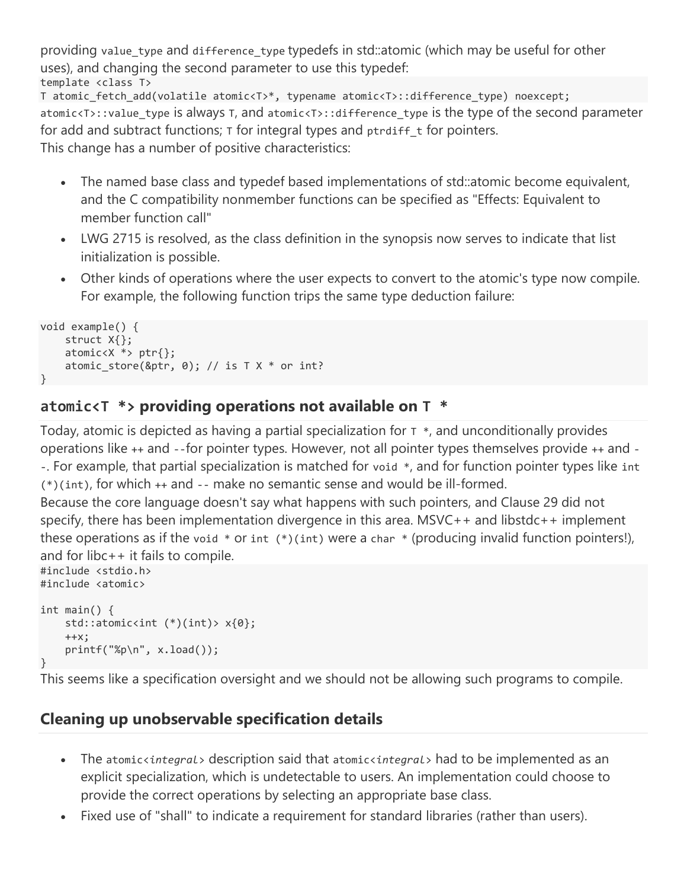template <class T> T atomic fetch add(volatile atomic<T>\*, typename atomic<T>::difference type) noexcept; atomic<T>::value\_type is always T, and atomic<T>::difference\_type is the type of the second parameter providing value\_type and difference\_type typedefs in std::atomic (which may be useful for other uses), and changing the second parameter to use this typedef:

for add and subtract functions;  $\tau$  for integral types and ptrdiff  $\tau$  for pointers. This change has a number of positive characteristics:

- The named base class and typedef based implementations of std: atomic become equivalent, and the C compatibility nonmember functions can be specified as "Effects: Equivalent to member function call"
- LWG 2715 is resolved, as the class definition in the synopsis now serves to indicate that list initialization is possible.
- Other kinds of operations where the user expects to convert to the atomic's type now compile. For example, the following function trips the same type deduction failure:

```
void example() { 
     struct X{}; 
    atomic < X * > ptr {};
    atomic_store(&ptr, 0); // is T X * or int?}
```
# atomic<T  $*$ > providing operations not available on  $T *$

Today, atomic is depicted as having a partial specialization for  $\tau$   $*$ , and unconditionally provides operations like ++ and --for pointer types. However, not all pointer types themselves provide ++ and - -. For example, that partial specialization is matched for void \*, and for function pointer types like int (\*)(int), for which ++ and -- make no semantic sense and would be ill-formed.

Because the core language doesn't say what happens with such pointers, and Clause 29 did not specify, there has been implementation divergence in this area. MSVC++ and libstdc++ implement these operations as if the void  $*$  or int  $(*)$  (int) were a char  $*$  (producing invalid function pointers!), and for libc++ it fails to compile.

```
#include <stdio.h> 
#include <atomic> 
int main() { 
     std::atomic<int (*)(int)> x{0}; 
    ++x; printf("%p\n", x.load()); 
}
```
This seems like a specification oversight and we should not be allowing such programs to compile.

# Cleaning up unobservable specification details

- The atomic<integral> description said that atomic<integral> had to be implemented as an explicit specialization, which is undetectable to users. An implementation could choose to provide the correct operations by selecting an appropriate base class.
- Fixed use of "shall" to indicate a requirement for standard libraries (rather than users).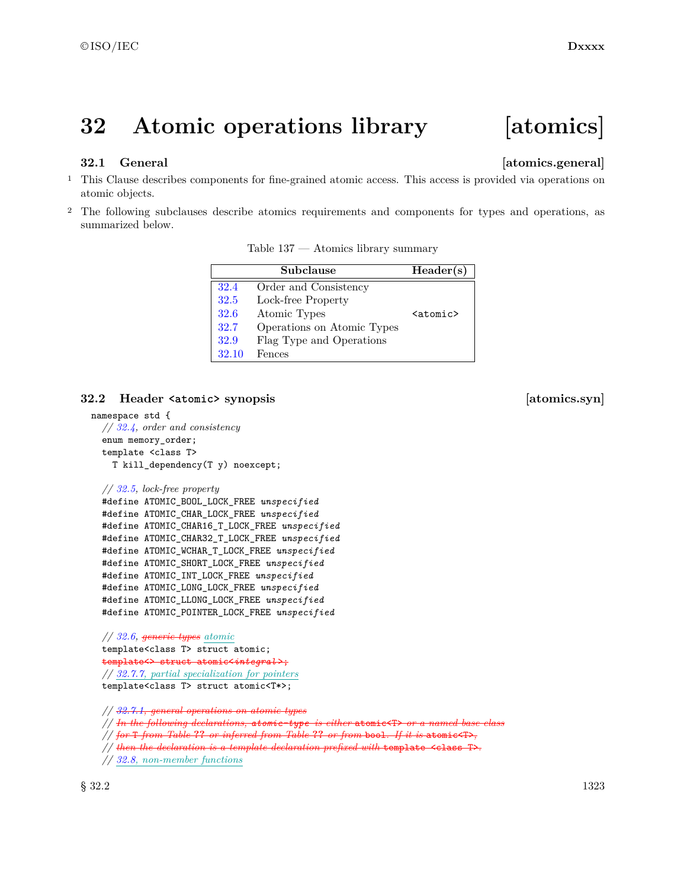# **32 Atomic operations library [atomics]**

### **32.1 General [atomics.general]**

- <sup>1</sup> This Clause describes components for fine-grained atomic access. This access is provided via operations on atomic objects.
- <sup>2</sup> The following subclauses describe atomics requirements and components for types and operations, as summarized below.

|       | Subclause                  | Header(s)                  |
|-------|----------------------------|----------------------------|
| 32.4  | Order and Consistency      |                            |
| 32.5  | Lock-free Property         |                            |
| 32.6  | Atomic Types               | $\langle$ atomic $\rangle$ |
| 32.7  | Operations on Atomic Types |                            |
| 32.9  | Flag Type and Operations   |                            |
| 32.10 | Fences                     |                            |

Table 137 — Atomics library summary

### **32.2** Header  $\langle \text{atomic} \rangle$  synopsis **[atomics.syn]**

```
namespace std {
  // 32.4, order and consistency
  enum memory_order;
 template <class T>
   T kill_dependency(T y) noexcept;
  // 32.5, lock-free property
  #define ATOMIC_BOOL_LOCK_FREE unspecified
 #define ATOMIC_CHAR_LOCK_FREE unspecified
  #define ATOMIC_CHAR16_T_LOCK_FREE unspecified
  #define ATOMIC_CHAR32_T_LOCK_FREE unspecified
  #define ATOMIC_WCHAR_T_LOCK_FREE unspecified
  #define ATOMIC_SHORT_LOCK_FREE unspecified
  #define ATOMIC_INT_LOCK_FREE unspecified
  #define ATOMIC_LONG_LOCK_FREE unspecified
  #define ATOMIC_LLONG_LOCK_FREE unspecified
  #define ATOMIC_POINTER_LOCK_FREE unspecified
 // 32.6, generic types atomic
  template<class T> struct atomic;
 template<> struct atomic<integral >;
```
*// 32.7.7, partial specialization for pointers* template<class T> struct atomic<T\*>;

*// 32.7.1, general operations on atomic types*

*// In the following declarations, atomic-type is either* atomic<T> *or a named base class*

*// for* T *from Table* **??** *or inferred from Table* **??** *or from* bool*. If it is* atomic<T>*,*

*<sup>//</sup> then the declaration is a template declaration prefixed with* template <class T>*.*

*<sup>//</sup> 32.8, non-member functions*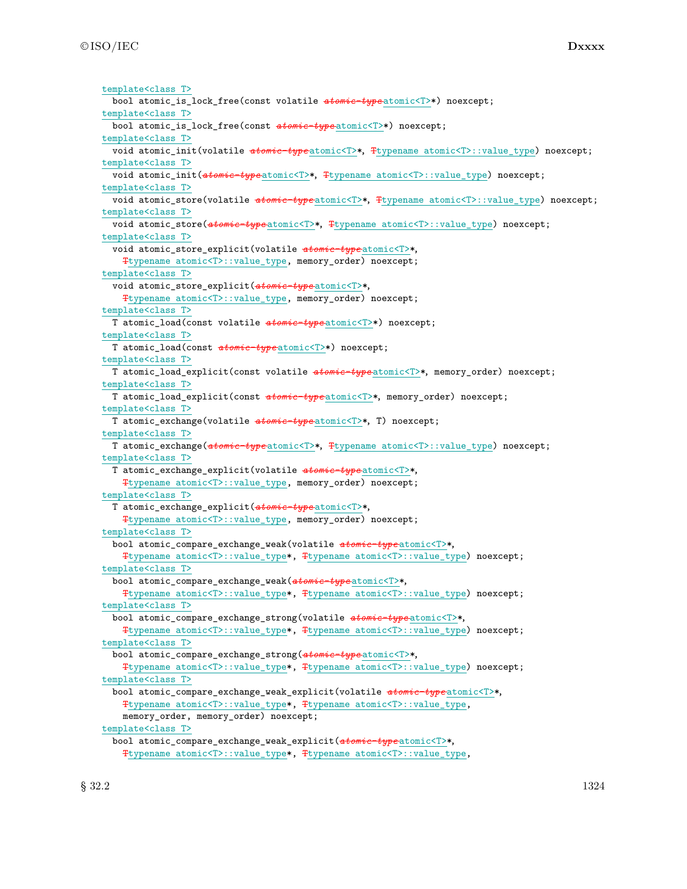©ISO/IEC **Dxxxx**

template<class T> bool atomic\_is\_lock\_free(const volatile *atomic-type* atomic<T>\*) noexcept; template<class T> bool atomic\_is\_lock\_free(const *atomic-type* atomic<T>\*) noexcept; template<class T> void atomic\_init(volatile *atomic-type* atomic<T>\*, Ttypename atomic<T>::value\_type) noexcept; template<class T> void atomic\_init(*atomic-type* atomic<T>\*, Ttypename atomic<T>::value\_type) noexcept; template<class T> void atomic\_store(volatile  $atomic-type$ <sub>atomic</sub><T>\*, Ttypename atomic<T>::value\_type) noexcept; template<class T> void atomic\_store(*atomic-type* atomic<T>\*, Ttypename atomic<T>::value\_type) noexcept; template<class T> void atomic\_store\_explicit(volatile *atomic-type* atomic<T>\*, Ttypename atomic<T>::value\_type, memory\_order) noexcept; template<class T> void atomic\_store\_explicit(*atomic-type* atomic<T>\*, Ttypename atomic<T>::value\_type, memory\_order) noexcept; template<class T> T atomic\_load(const volatile *atomic-type* atomic<T>\*) noexcept; template<class T> T atomic\_load(const *atomic-type* atomic<T>\*) noexcept; template<class T> T atomic\_load\_explicit(const volatile *atomic-type* atomic<T>\*, memory\_order) noexcept; template<class T> T atomic\_load\_explicit(const *atomic-type* atomic<T>\*, memory\_order) noexcept; template<class T> T atomic\_exchange(volatile *atomic-type* atomic<T>\*, T) noexcept; template<class T> T atomic\_exchange(*atomic-type* atomic<T>\*, Ttypename atomic<T>::value\_type) noexcept; template<class T> T atomic\_exchange\_explicit(volatile *atomic-type* atomic<T>\*, Ttypename atomic<T>::value\_type, memory\_order) noexcept; template<class T> T atomic\_exchange\_explicit(*atomic-type* atomic<T>\*, Ttypename atomic<T>::value\_type, memory\_order) noexcept; template<class T> bool atomic\_compare\_exchange\_weak(volatile *atomic-type* atomic<T>\*, Ttypename atomic<T>::value\_type\*, Ttypename atomic<T>::value\_type) noexcept; template<class T> bool atomic\_compare\_exchange\_weak(*atomic-type* atomic<T>\*, Ttypename atomic<T>::value\_type\*, Ttypename atomic<T>::value\_type) noexcept; template<class T> bool atomic\_compare\_exchange\_strong(volatile *atomic-type* atomic<T>\*, Ttypename atomic<T>::value\_type\*, Ttypename atomic<T>::value\_type) noexcept; template<class T> bool atomic\_compare\_exchange\_strong(*atomic-type* atomic<T>\*, Ttypename atomic<T>::value\_type\*, Ttypename atomic<T>::value\_type) noexcept; template<class T> bool atomic\_compare\_exchange\_weak\_explicit(volatile *atomic-type* atomic<T>\*, Ttypename atomic<T>::value\_type\*, Ttypename atomic<T>::value\_type, memory\_order, memory\_order) noexcept; template<class T> bool atomic\_compare\_exchange\_weak\_explicit(*atomic-type* atomic<T>\*, Ttypename atomic<T>::value\_type\*, Ttypename atomic<T>::value\_type,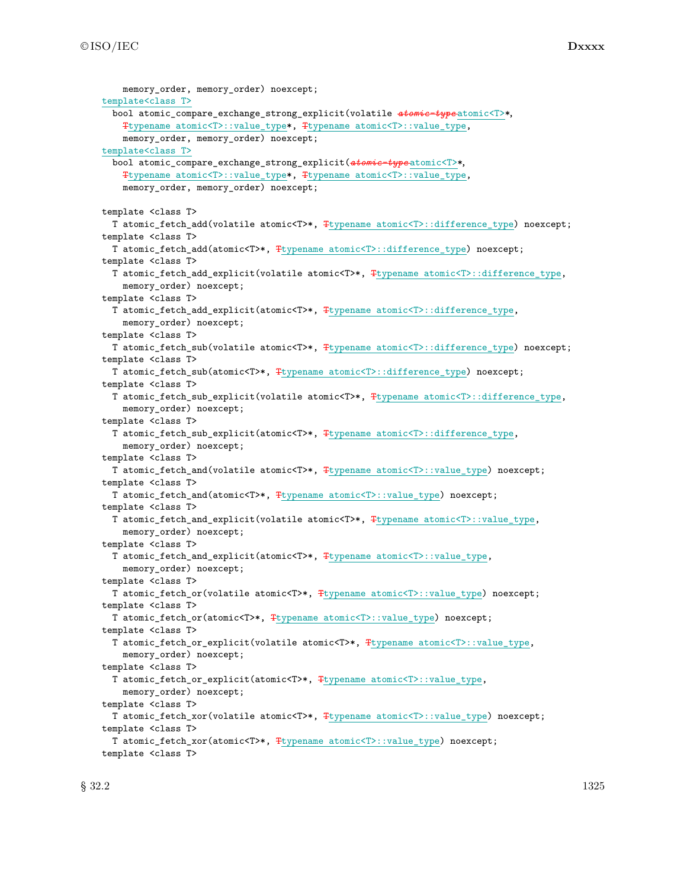| memory_order, memory_order) noexcept;                                                            |
|--------------------------------------------------------------------------------------------------|
| template <class t=""></class>                                                                    |
| bool atomic_compare_exchange_strong_explicit(volatile atomic-typeatomic <t>*,</t>                |
| Ttypename atomic <t>::value_type*, Ttypename atomic<t>::value_type,</t></t>                      |
| memory_order, memory_order) noexcept;                                                            |
| template <class t=""></class>                                                                    |
| bool atomic_compare_exchange_strong_explicit(atomic-typeatomic <t>*,</t>                         |
| Ttypename atomic <t>::value_type*, Ttypename atomic<t>::value_type,</t></t>                      |
| memory_order, memory_order) noexcept;                                                            |
|                                                                                                  |
| template <class t=""></class>                                                                    |
| T atomic_fetch_add(volatile atomic <t>*, Ttypename atomic<t>::difference_type) noexcept;</t></t> |
| template <class t=""></class>                                                                    |
| T atomic_fetch_add(atomic <t>*, Ttypename atomic<t>::difference_type) noexcept;</t></t>          |
| template <class t=""></class>                                                                    |
| T atomic_fetch_add_explicit(volatile atomic <t>*, Ttypename atomic<t>::difference_type,</t></t>  |
| memory_order) noexcept;                                                                          |
| template <class t=""></class>                                                                    |
| T atomic_fetch_add_explicit(atomic <t>*, Ttypename atomic<t>::difference_type,</t></t>           |
| memory_order) noexcept;                                                                          |
| template <class t=""></class>                                                                    |
| T atomic_fetch_sub(volatile atomic <t>*, Ttypename atomic<t>::difference_type) noexcept;</t></t> |
| template <class t=""></class>                                                                    |
|                                                                                                  |
| T atomic_fetch_sub(atomic <t>*, Ttypename atomic<t>::difference_type) noexcept;</t></t>          |
| template <class t=""></class>                                                                    |
| T atomic_fetch_sub_explicit(volatile atomic <t>*, Ttypename atomic<t>::difference_type,</t></t>  |
| memory_order) noexcept;                                                                          |
| template <class t=""></class>                                                                    |
| T atomic_fetch_sub_explicit(atomic <t>*, Ttypename atomic<t>::difference_type,</t></t>           |
| memory_order) noexcept;                                                                          |
| template <class t=""></class>                                                                    |
| T atomic_fetch_and(volatile atomic <t>*, Ttypename atomic<t>::value_type) noexcept;</t></t>      |
| template <class t=""></class>                                                                    |
| T atomic_fetch_and(atomic <t>*, Ttypename atomic<t>::value_type) noexcept;</t></t>               |
| template <class t=""></class>                                                                    |
| T atomic_fetch_and_explicit(volatile atomic <t>*, Ttypename atomic<t>::value_type,</t></t>       |
| memory_order) noexcept;                                                                          |
| template <class t=""></class>                                                                    |
| T atomic_fetch_and_explicit(atomic <t>*, Ttypename atomic<t>::value_type,</t></t>                |
| memory_order) noexcept;                                                                          |
| template <class t=""></class>                                                                    |
| T atomic_fetch_or(volatile atomic <t>*, Ttypename atomic<t>::value_type) noexcept;</t></t>       |
| template <class t=""></class>                                                                    |
| T atomic_fetch_or(atomic <t>*, \typename atomic<t>::value_type) noexcept;</t></t>                |
| template <class t=""></class>                                                                    |
| T atomic_fetch_or_explicit(volatile atomic <t>*, Ttypename atomic<t>::value_type,</t></t>        |
| memory_order) noexcept;                                                                          |
| template <class t=""></class>                                                                    |
| T atomic_fetch_or_explicit(atomic <t>*, Ttypename atomic<t>::value_type,</t></t>                 |
| memory_order) noexcept;                                                                          |
|                                                                                                  |
| template <class t=""></class>                                                                    |
| T atomic_fetch_xor(volatile atomic <t>*, Ttypename atomic<t>::value_type) noexcept;</t></t>      |
| template <class t=""></class>                                                                    |
| T atomic_fetch_xor(atomic <t>*, Ttypename atomic<t>::value_type) noexcept;</t></t>               |
| template <class t=""></class>                                                                    |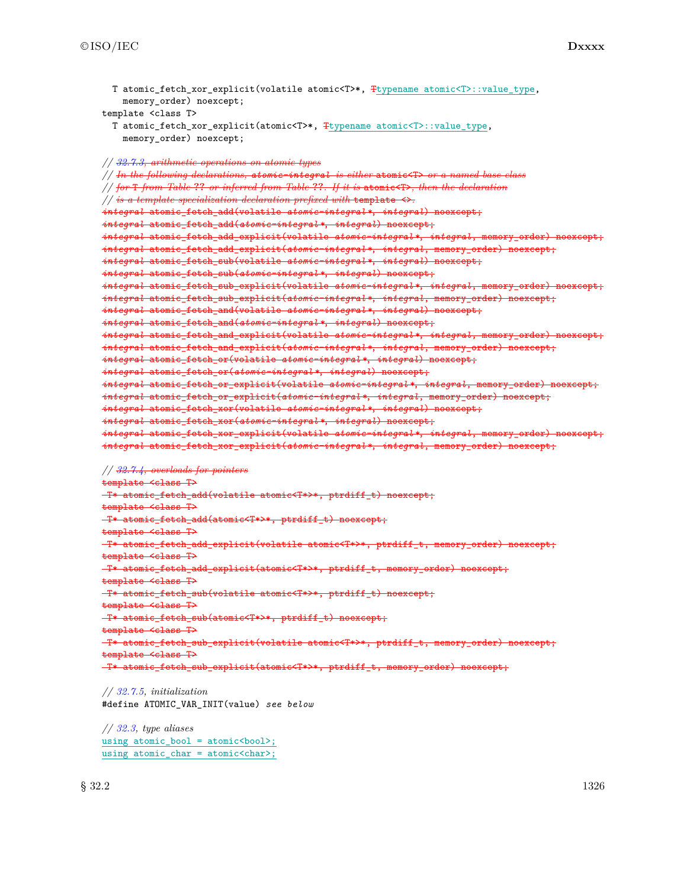```
T atomic fetch xor explicit(volatile atomic<T>*, Ttypename atomic<T>::value type,
   memory_order) noexcept;
template <class T>
 T atomic_fetch_xor_explicit(atomic<T>*, Ttypename atomic<T>::value_type,
    memory_order) noexcept;
// 32.7.3, arithmetic operations on atomic types
// In the following declarations, atomic-integral is either atomic<T> or a named base class
// for T from Table ?? or inferred from Table ??. If it is atomic<T>, then the declaration
// is a template specialization declaration prefixed with template <>.
integral atomic_fetch_add(volatile atomic-integral *, integral) noexcept;
integral atomic_fetch_add(atomic-integral *, integral) noexcept;
integral atomic_fetch_add_explicit(volatile atomic-integral *, integral, memory_order) noexcept;
integral atomic_fetch_add_explicit(atomic-integral *, integral, memory_order) noexcept;
integral atomic_fetch_sub(volatile atomic-integral *, integral) noexcept;
integral atomic_fetch_sub(atomic-integral *, integral) noexcept;
integral atomic_fetch_sub_explicit(volatile atomic-integral *, integral, memory_order) noexcept;
integral atomic_fetch_sub_explicit(atomic-integral *, integral, memory_order) noexcept;
integral atomic_fetch_and(volatile atomic-integral *, integral) noexcept;
integral atomic_fetch_and(atomic-integral *, integral) noexcept;
integral atomic_fetch_and_explicit(volatile atomic-integral *, integral, memory_order) noexcept;
integral atomic_fetch_and_explicit(atomic-integral *, integral, memory_order) noexcept;
integral atomic_fetch_or(volatile atomic-integral *, integral) noexcept;
integral atomic_fetch_or(atomic-integral *, integral) noexcept;
integral atomic_fetch_or_explicit(volatile atomic-integral *, integral, memory_order) noexcept;
integral atomic_fetch_or_explicit(atomic-integral *, integral, memory_order) noexcept;
integral atomic_fetch_xor(volatile atomic-integral *, integral) noexcept;
integral atomic_fetch_xor(atomic-integral *, integral) noexcept;
integral atomic_fetch_xor_explicit(volatile atomic-integral *, integral, memory_order) noexcept;
integral atomic_fetch_xor_explicit(atomic-integral *, integral, memory_order) noexcept;
// 32.7.4, overloads for pointers
template <class T>
T* atomic_fetch_add(volatile atomic<T*>*, ptrdiff_t) noexcept;
template <class T>
T* atomic_fetch_add(atomic<T*>*, ptrdiff_t) noexcept;
template <class T>
T* atomic_fetch_add_explicit(volatile atomic<T*>*, ptrdiff_t, memory_order) noexcept;
template <class T>
T* atomic_fetch_add_explicit(atomic<T*>*, ptrdiff_t, memory_order) noexcept;
template <class T>
T* atomic_fetch_sub(volatile atomic<T*>*, ptrdiff_t) noexcept;
template <class T>
T* atomic_fetch_sub(atomic<T*>*, ptrdiff_t) noexcept;
template <class T>
T* atomic_fetch_sub_explicit(volatile atomic<T*>*, ptrdiff_t, memory_order) noexcept;
template <class T>
T* atomic_fetch_sub_explicit(atomic<T*>*, ptrdiff_t, memory_order) noexcept;
// 32.7.5, initialization
```
#define ATOMIC\_VAR\_INIT(value) *see below*

*// 32.3, type aliases* using atomic\_bool = atomic<br/>bool>; using atomic\_char = atomic<char>;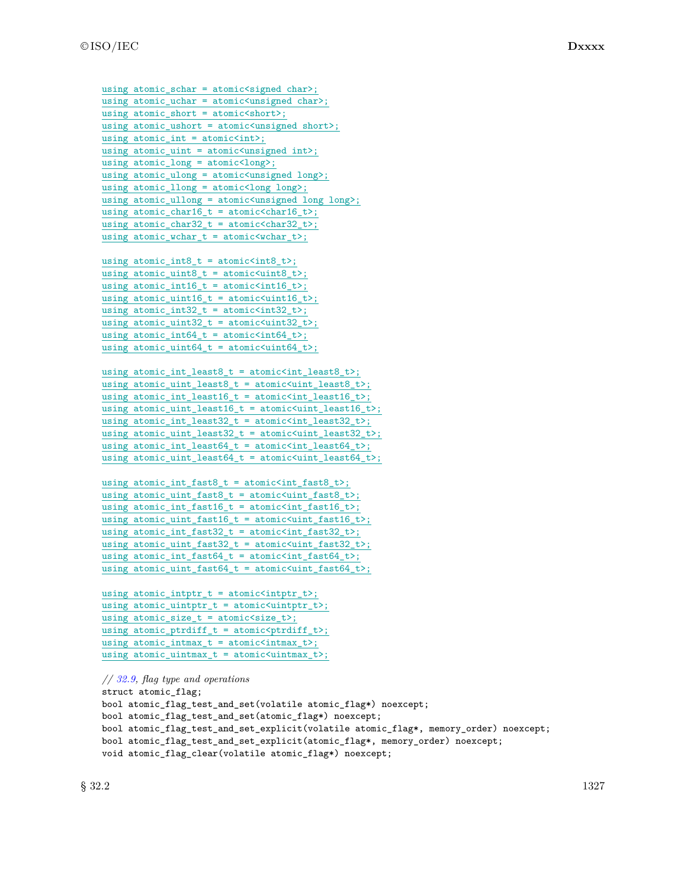```
using atomic schar = atomic\langlesigned char\rangle;
using atomic_uchar = atomic<unsigned char>;
using atomic_short = atomic<short>;
using atomic_ushort = atomic<unsigned short>;
using atomic_int = atomic<int>;
using atomic_uint = atomic<unsigned int>;
using atomic_long = atomic<long>;
using atomic_ulong = atomic<unsigned long>;
using atomic_llong = atomic<long long>;
using atomic_ullong = atomic<unsigned long long>;
using atomic_{char}16_t = atomic<char16_t;
using atomic_char32_t = atomic<char32_t>;
using atomic_wchar_t = atomic<wchar_t>;
```

```
using atomic\_int8_t = atomic<int8_t;
using atomic_uint8_t = atomic<uint8_t>;
using atomic_int16_t = atomic\langle int16_t \rangle;
using atomic\_uint16_t = atomic\{uint16_t\};using atomic_int32_t = atomic\langle int32_t \rangle;using atomic_uint32_t = atomic<uint32_t>;
using atomic_int64_t = atomic<int64_t>;
using atomic\_uint64_t = atomic\{
```

```
using atomic_int_least8_t = atomic<int_least8_t>;
using atomic_uint_least8_t = atomic<uint_least8_t>;
using atomic_int_least16_t = atomic<int_least16_t>;
using atomic\_uint\_least16_t = atomic\{uint\_least16_t\};using atomic_int_least32_t = atomic<int_least32_t>;
using atomic_uint_least32_t = atomic<uint_least32_t>;
using atomic\_int\_least64_t = atomic<int\_least64_t;
using atomic_uint_least64_t = atomic<uint_least64_t>;
```

```
using atomic_int_fast8_t = atomic<int_fast8_t>;
using atomic\_uint\_fast8_t = atomic\{uint\_fast8_t\};using atomic\_int\_fast16_t = atomic<int\_fast16_t;
using atomic_uint_fast16_t = atomic<uint_fast16_t>;
using atomic_int_fast32_t = atomic<int_fast32_t>;
using atomic_uint_fast32_t = atomic<uint_fast32_t>;
using atomic\_int\_fast64_t = atomic<int\_fast64_t;
using atomic_uint_fast64_t = atomic<uint_fast64_t>;
```

```
using atomic_intptr_t = atomic<intptr_t>;
using atomic_uintptr_t = atomic<uintptr_t>;
using atomic_size_t = atomic\langle size_t \rangle;
using atomic\_ptrdiff_t = atomic<ptrdiff_t>;
using atomic_intrmax_t = atomic\langle intrmax_t \rangle;using atomic_uintmax_t = atomic<uintmax_t>;
```

```
// 32.9, flag type and operations
struct atomic_flag;
bool atomic_flag_test_and_set(volatile atomic_flag*) noexcept;
bool atomic_flag_test_and_set(atomic_flag*) noexcept;
bool atomic_flag_test_and_set_explicit(volatile atomic_flag*, memory_order) noexcept;
bool atomic_flag_test_and_set_explicit(atomic_flag*, memory_order) noexcept;
void atomic_flag_clear(volatile atomic_flag*) noexcept;
```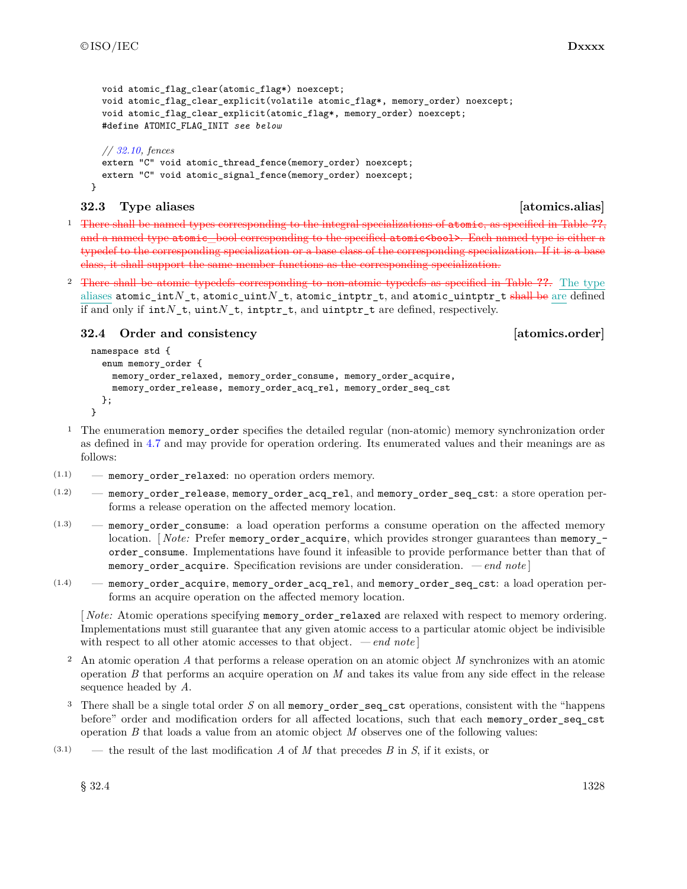}

```
void atomic flag clear(atomic flag*) noexcept;
void atomic flag_clear_explicit(volatile atomic_flag*, memory_order) noexcept;
void atomic_flag_clear_explicit(atomic_flag*, memory_order) noexcept;
#define ATOMIC_FLAG_INIT see below
// 32.10, fences
extern "C" void atomic_thread_fence(memory_order) noexcept;
extern "C" void atomic_signal_fence(memory_order) noexcept;
```
### **32.3 Type aliases [atomics.alias]**

<sup>1</sup> There shall be named types corresponding to the integral specializations of atomic, as specified in Table **??**, and a named type atomic\_bool corresponding to the specified atomic<br/>sbool>. Each named type is either a typedef to the corresponding specialization or a base class of the corresponding specialization. If it is a base class, it shall support the same member functions as the corresponding specialization.

2 There shall be atomic typedefs corresponding to non-atomic typedefs as specified in Table **??**. The type aliases atomic\_int*N*\_t, atomic\_uint*N*\_t, atomic\_intptr\_t, and atomic\_uintptr\_t shall be are defined if and only if int*N*\_t, uint*N*\_t, intptr\_t, and uintptr\_t are defined, respectively.

**32.4 Order and consistency [atomics.order]**

```
namespace std {
  enum memory_order {
   memory_order_relaxed, memory_order_consume, memory_order_acquire,
    memory_order_release, memory_order_acq_rel, memory_order_seq_cst
  };
}
```
- <sup>1</sup> The enumeration memory\_order specifies the detailed regular (non-atomic) memory synchronization order as defined in 4.7 and may provide for operation ordering. Its enumerated values and their meanings are as follows:
- (1.1) memory\_order\_relaxed: no operation orders memory.
- (1.2) memory\_order\_release, memory\_order\_acq\_rel, and memory\_order\_seq\_cst: a store operation performs a release operation on the affected memory location.
- (1.3) memory\_order\_consume: a load operation performs a consume operation on the affected memory location. *Note:* Prefer memory order acquire, which provides stronger guarantees than memory order\_consume. Implementations have found it infeasible to provide performance better than that of memory order acquire. Specification revisions are under consideration. *— end note*
- (1.4) memory\_order\_acquire, memory\_order\_acq\_rel, and memory\_order\_seq\_cst: a load operation performs an acquire operation on the affected memory location.

[ *Note:* Atomic operations specifying memory\_order\_relaxed are relaxed with respect to memory ordering. Implementations must still guarantee that any given atomic access to a particular atomic object be indivisible with respect to all other atomic accesses to that object. *— end note* ]

- <sup>2</sup> An atomic operation *A* that performs a release operation on an atomic object *M* synchronizes with an atomic operation *B* that performs an acquire operation on *M* and takes its value from any side effect in the release sequence headed by *A*.
- <sup>3</sup> There shall be a single total order *S* on all memory\_order\_seq\_cst operations, consistent with the "happens before" order and modification orders for all affected locations, such that each memory\_order\_seq\_cst operation *B* that loads a value from an atomic object *M* observes one of the following values:
- (3.1) the result of the last modification *A* of *M* that precedes *B* in *S*, if it exists, or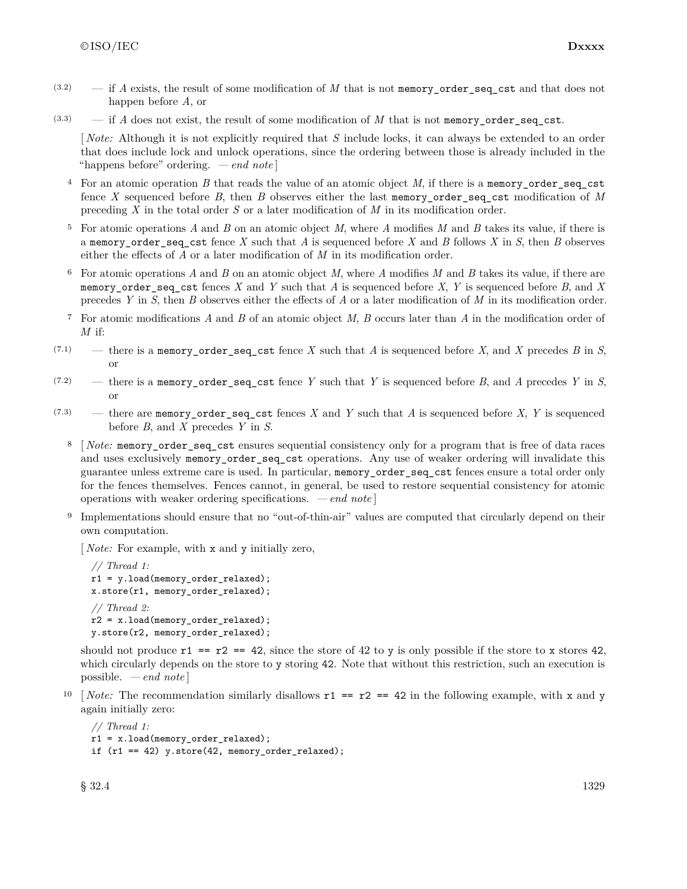- $(3.2)$  if *A* exists, the result of some modification of *M* that is not memory order seq cst and that does not happen before *A*, or
- $(3.3)$  if *A* does not exist, the result of some modification of *M* that is not memory order seq cst.

[ *Note:* Although it is not explicitly required that *S* include locks, it can always be extended to an order that does include lock and unlock operations, since the ordering between those is already included in the "happens before" ordering. *— end note* ]

- <sup>4</sup> For an atomic operation *B* that reads the value of an atomic object *M*, if there is a memory\_order\_seq\_cst fence *X* sequenced before *B*, then *B* observes either the last memory\_order\_seq\_cst modification of *M* preceding *X* in the total order *S* or a later modification of *M* in its modification order.
- <sup>5</sup> For atomic operations *A* and *B* on an atomic object *M*, where *A* modifies *M* and *B* takes its value, if there is a memory\_order\_seq\_cst fence *X* such that *A* is sequenced before *X* and *B* follows *X* in *S*, then *B* observes either the effects of *A* or a later modification of *M* in its modification order.
- <sup>6</sup> For atomic operations *A* and *B* on an atomic object *M*, where *A* modifies *M* and *B* takes its value, if there are memory\_order\_seq\_cst fences *X* and *Y* such that *A* is sequenced before *X*, *Y* is sequenced before *B*, and *X* precedes *Y* in *S*, then *B* observes either the effects of *A* or a later modification of *M* in its modification order.
- <sup>7</sup> For atomic modifications *A* and *B* of an atomic object *M*, *B* occurs later than *A* in the modification order of *M* if:
- $(7.1)$  there is a memory\_order\_seq\_cst fence *X* such that *A* is sequenced before *X*, and *X* precedes *B* in *S*, or
- $(7.2)$  there is a memory\_order\_seq\_cst fence *Y* such that *Y* is sequenced before *B*, and *A* precedes *Y* in *S*, or
- $(7.3)$  there are memory\_order\_seq\_cst fences *X* and *Y* such that *A* is sequenced before *X*, *Y* is sequenced before *B*, and *X* precedes *Y* in *S*.
	- <sup>8</sup> [ *Note:* memory\_order\_seq\_cst ensures sequential consistency only for a program that is free of data races and uses exclusively memory order seq cst operations. Any use of weaker ordering will invalidate this guarantee unless extreme care is used. In particular, memory\_order\_seq\_cst fences ensure a total order only for the fences themselves. Fences cannot, in general, be used to restore sequential consistency for atomic operations with weaker ordering specifications. *— end note* ]
	- <sup>9</sup> Implementations should ensure that no "out-of-thin-air" values are computed that circularly depend on their own computation.

[ *Note:* For example, with x and y initially zero,

```
// Thread 1:
r1 = y.load(memory_order_relaxed);
x.store(r1, memory_order_relaxed);
// Thread 2:
r2 = x.load(memory_order_relaxed);
y.store(r2, memory_order_relaxed);
```
should not produce  $r1 = r2 = 42$ , since the store of 42 to y is only possible if the store to x stores 42, which circularly depends on the store to y storing 42. Note that without this restriction, such an execution is possible. *— end note* ]

<sup>10</sup> [*Note:* The recommendation similarly disallows  $r1 == r2 == 42$  in the following example, with x and y again initially zero:

```
// Thread 1:
r1 = x.load(memory_order_relaxed);
if (r1 == 42) y.store(42, memory_order_relaxed);
```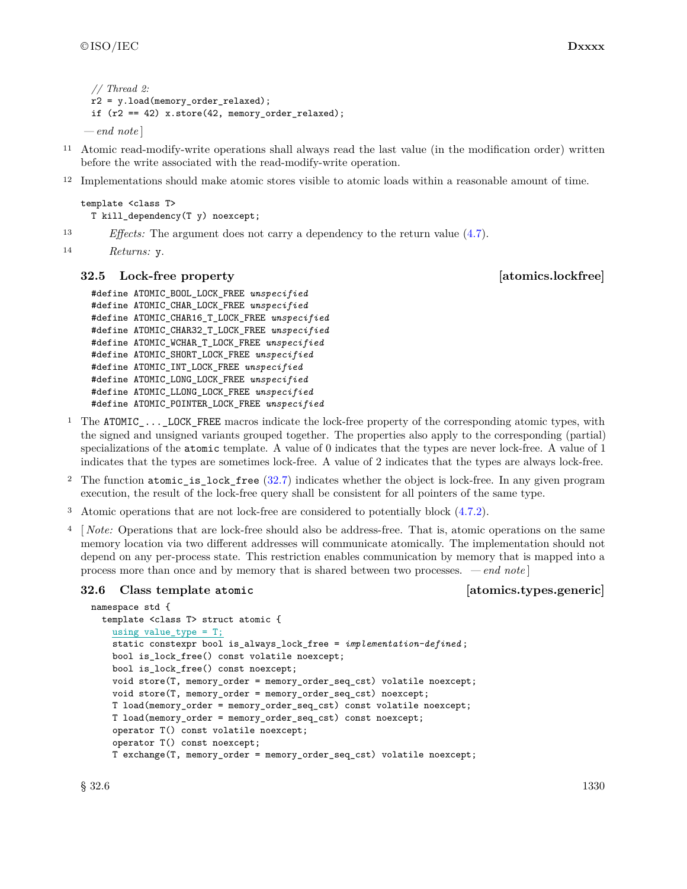```
// Thread 2:
 r2 = y.load(memory_order_relaxed);
 if (r2 == 42) x.store(42, memory_order_relaxed);
— end note ]
```
- <sup>11</sup> Atomic read-modify-write operations shall always read the last value (in the modification order) written before the write associated with the read-modify-write operation.
- 12 Implementations should make atomic stores visible to atomic loads within a reasonable amount of time.

```
template <class T>
 T kill_dependency(T y) noexcept;
```
<sup>13</sup> *Effects:* The argument does not carry a dependency to the return value (4.7).

```
14 Returns: y.
```
#### **32.5 Lock-free property [atomics.lockfree]**

```
#define ATOMIC_BOOL_LOCK_FREE unspecified
#define ATOMIC_CHAR_LOCK_FREE unspecified
#define ATOMIC_CHAR16_T_LOCK_FREE unspecified
#define ATOMIC_CHAR32_T_LOCK_FREE unspecified
#define ATOMIC_WCHAR_T_LOCK_FREE unspecified
#define ATOMIC_SHORT_LOCK_FREE unspecified
#define ATOMIC_INT_LOCK_FREE unspecified
#define ATOMIC_LONG_LOCK_FREE unspecified
#define ATOMIC_LLONG_LOCK_FREE unspecified
#define ATOMIC_POINTER_LOCK_FREE unspecified
```
- <sup>1</sup> The ATOMIC\_...\_LOCK\_FREE macros indicate the lock-free property of the corresponding atomic types, with the signed and unsigned variants grouped together. The properties also apply to the corresponding (partial) specializations of the atomic template. A value of 0 indicates that the types are never lock-free. A value of 1 indicates that the types are sometimes lock-free. A value of 2 indicates that the types are always lock-free.
- <sup>2</sup> The function atomic\_is\_lock\_free (32.7) indicates whether the object is lock-free. In any given program execution, the result of the lock-free query shall be consistent for all pointers of the same type.
- <sup>3</sup> Atomic operations that are not lock-free are considered to potentially block (4.7.2).
- <sup>4</sup> [ *Note:* Operations that are lock-free should also be address-free. That is, atomic operations on the same memory location via two different addresses will communicate atomically. The implementation should not depend on any per-process state. This restriction enables communication by memory that is mapped into a process more than once and by memory that is shared between two processes. *— end note* ]

#### **32.6 Class template atomic [atomics.types.generic]**

```
namespace std {
 template <class T> struct atomic {
    using value_type = T;
    static constexpr bool is_always_lock_free = implementation-defined ;
    bool is_lock_free() const volatile noexcept;
    bool is_lock_free() const noexcept;
    void store(T, memory_order = memory_order_seq_cst) volatile noexcept;
    void store(T, memory_order = memory_order_seq_cst) noexcept;
    T load(memory_order = memory_order_seq_cst) const volatile noexcept;
    T load(memory_order = memory_order_seq_cst) const noexcept;
    operator T() const volatile noexcept;
    operator T() const noexcept;
    T exchange(T, memory_order = memory_order_seq_cst) volatile noexcept;
```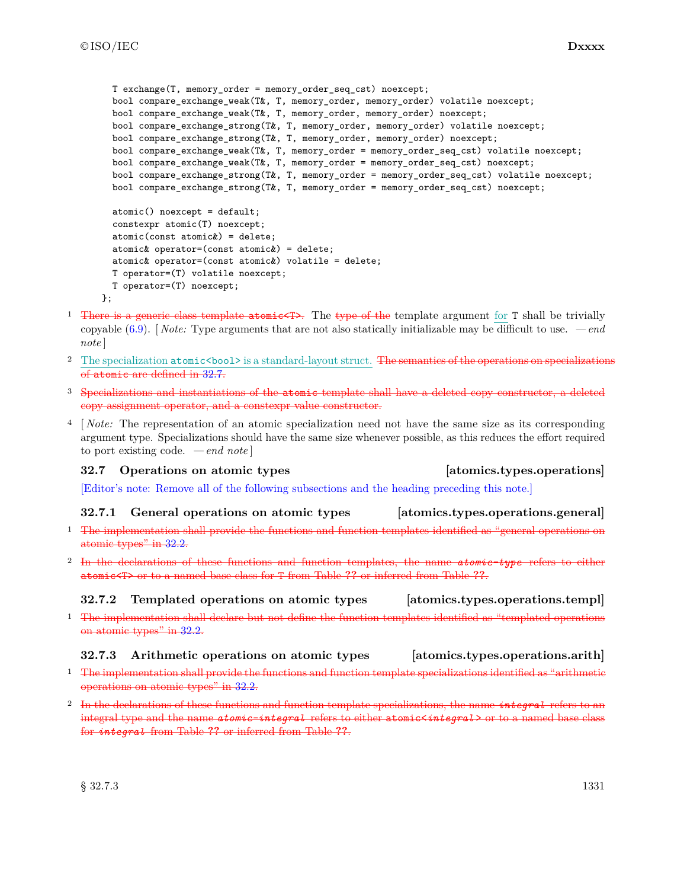```
T exchange(T, memory_order = memory_order_seq_cst) noexcept;
 bool compare_exchange_weak(T&, T, memory_order, memory_order) volatile noexcept;
 bool compare_exchange_weak(T&, T, memory_order, memory_order) noexcept;
 bool compare_exchange_strong(T&, T, memory_order, memory_order) volatile noexcept;
 bool compare_exchange_strong(T&, T, memory_order, memory_order) noexcept;
 bool compare_exchange_weak(T&, T, memory_order = memory_order_seq_cst) volatile noexcept;
 bool compare_exchange_weak(T&, T, memory_order = memory_order_seq_cst) noexcept;
 bool compare_exchange_strong(T&, T, memory_order = memory_order_seq_cst) volatile noexcept;
 bool compare_exchange_strong(T&, T, memory_order = memory_order_seq_cst) noexcept;
 atomic() noexcept = default;
 constexpr atomic(T) noexcept;
  atomic(const atomic&) = delete;
 atomic& operator=(const atomic&) = delete;
 atomic& operator=(const atomic&) volatile = delete;
 T operator=(T) volatile noexcept;
 T operator=(T) noexcept;
};
```
- <sup>1</sup> There is a generic class template atomic  $\rightarrow$ . The type of the template argument for **T** shall be trivially copyable (6.9). [ *Note:* Type arguments that are not also statically initializable may be difficult to use. *— end note* ]
- <sup>2</sup> The specialization atomic<br/>bool> is a standard-layout struct. The semantics of the operations on specializations of atomic are defined in 32.7.
- <sup>3</sup> Specializations and instantiations of the atomic template shall have a deleted copy constructor, a deleted copy assignment operator, and a constexpr value constructor.
- <sup>4</sup> [ *Note:* The representation of an atomic specialization need not have the same size as its corresponding argument type. Specializations should have the same size whenever possible, as this reduces the effort required to port existing code. *— end note* ]

# **32.7 Operations on atomic types [atomics.types.operations]**

[Editor's note: Remove all of the following subsections and the heading preceding this note.]

### **32.7.1 General operations on atomic types [atomics.types.operations.general]**

- <sup>1</sup> The implementation shall provide the functions and function templates identified as "general operations on atomic types" in 32.2.
- <sup>2</sup> In the declarations of these functions and function templates, the name *atomic-type* refers to either atomic<T> or to a named base class for T from Table **??** or inferred from Table **??**.

# **32.7.2 Templated operations on atomic types [atomics.types.operations.templ]**

<sup>1</sup> The implementation shall declare but not define the function templates identified as "templated operations on atomic types" in 32.2.

## **32.7.3 Arithmetic operations on atomic types [atomics.types.operations.arith]**

- <sup>1</sup> The implementation shall provide the functions and function template specializations identified as "arithmetic operations on atomic types" in 32.2.
- <sup>2</sup> In the declarations of these functions and function template specializations, the name *integral* refers to an integral type and the name *atomic-integral* refers to either atomic<*integral* > or to a named base class for *integral* from Table **??** or inferred from Table **??**.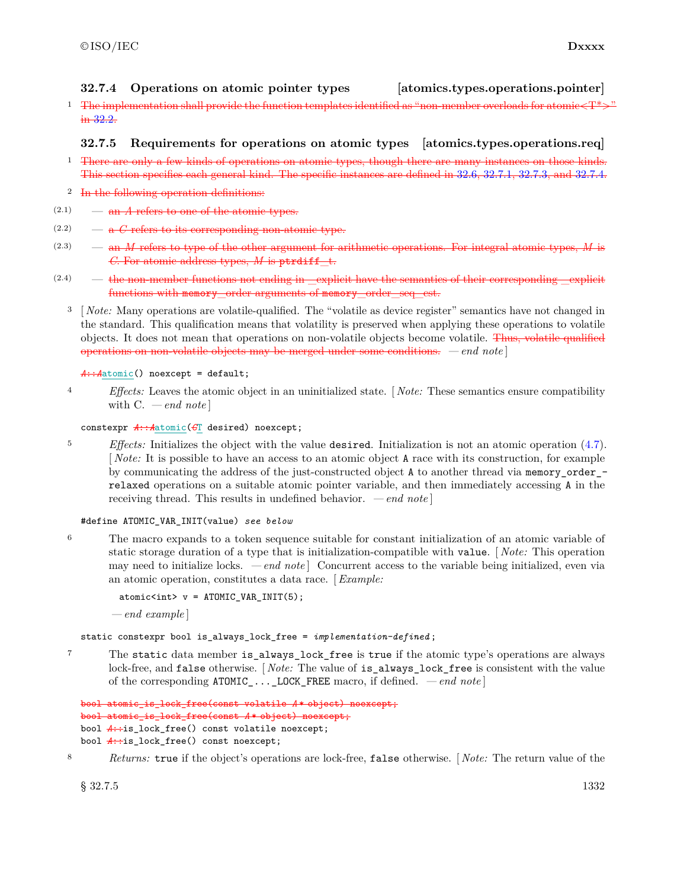## **32.7.4 Operations on atomic pointer types [atomics.types.operations.pointer]**

<sup>1</sup> The implementation shall provide the function templates identified as "non-member overloads for atomic $\langle T^* \rangle$ " in 32.2.

### **32.7.5 Requirements for operations on atomic types [atomics.types.operations.req]**

- <sup>1</sup> There are only a few kinds of operations on atomic types, though there are many instances on those This section specifies each general kind. The specific instances are defined in 32.6, 32.7.1, 32.7.3, and 32.7.4.
- 2 In the following operation definitions:
- $(2.1)$  an *A* refers to one of the atomic types.
- $(2.2)$   $-\mathbf{a}$  *C* refers to its corresponding non-atomic type.
- (2.3) an *M* refers to type of the other argument for arithmetic operations. For integral atomic types, *M* is *C*. For atomic address types, *M* is ptrdiff\_t.
- $(2.4)$  the non-member functions not ending in —explicit have the semantics of their corresponding functions with memory order arguments of memory order seq est.
	- <sup>3</sup> [ *Note:* Many operations are volatile-qualified. The "volatile as device register" semantics have not changed in the standard. This qualification means that volatility is preserved when applying these operations to volatile objects. It does not mean that operations on non-volatile objects become volatile. Thus, volatile qualified operations on non-volatile objects may be merged under some conditions. *— end note* ]

#### *A*::*A*atomic() noexcept = default;

<sup>4</sup> *Effects:* Leaves the atomic object in an uninitialized state. [ *Note:* These semantics ensure compatibility with C. *— end note* ]

#### constexpr *A*::*A*atomic(*C*T desired) noexcept;

<sup>5</sup> *Effects:* Initializes the object with the value desired. Initialization is not an atomic operation (4.7). [ *Note:* It is possible to have an access to an atomic object A race with its construction, for example by communicating the address of the just-constructed object A to another thread via memory\_order\_ relaxed operations on a suitable atomic pointer variable, and then immediately accessing A in the receiving thread. This results in undefined behavior. *— end note* ]

#### #define ATOMIC\_VAR\_INIT(value) *see below*

<sup>6</sup> The macro expands to a token sequence suitable for constant initialization of an atomic variable of static storage duration of a type that is initialization-compatible with value. [ *Note:* This operation may need to initialize locks. *— end note* ] Concurrent access to the variable being initialized, even via an atomic operation, constitutes a data race. [*Example:*

atomic<int>  $v = ATOMIC VAR INT(5);$ 

*— end example* ]

static constexpr bool is\_always\_lock\_free = *implementation-defined* ;

<sup>7</sup> The static data member is\_always\_lock\_free is true if the atomic type's operations are always lock-free, and false otherwise. [ *Note:* The value of is\_always\_lock\_free is consistent with the value of the corresponding ATOMIC\_...\_LOCK\_FREE macro, if defined. *— end note* ]

```
bool atomic_is_lock_free(const volatile A * object) noexcept;
bool atomic_is_lock_free(const A * object) noexcept;
bool A:is_lock_free() const volatile noexcept;
bool A:is_lock_free() const noexcept;
```
<sup>8</sup> *Returns:* true if the object's operations are lock-free, false otherwise. [ *Note:* The return value of the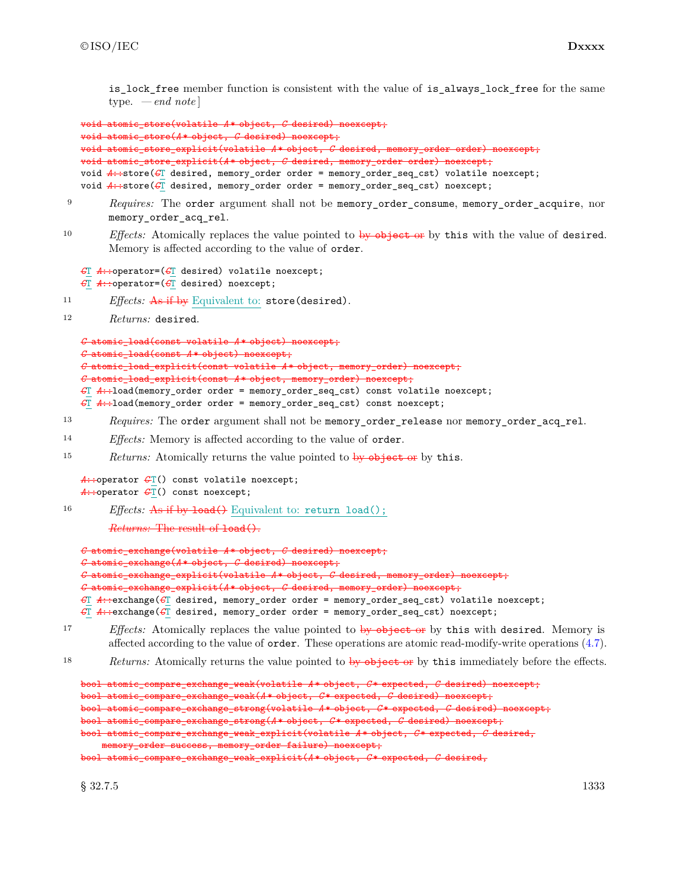is lock free member function is consistent with the value of is always lock free for the same type. *— end note* ]

```
void atomic_store(volatile A * object, C desired) noexcept;
void atomic_store(A * object, C desired) noexcept;
void atomic_store_explicit(volatile A * object, C desired, memory_order order) noexcept;
void atomic_store_explicit(A * object, C desired, memory_order order) noexcept;
void A::store(CT desired, memory_order order = memory_order_seq_cst) volatile noexcept;
void A::store(C\Gamma desired, memory_order order = memory_order_seq_cst) noexcept;
```
- <sup>9</sup> *Requires:* The order argument shall not be memory\_order\_consume, memory\_order\_acquire, nor memory\_order\_acq\_rel.
- 10 *Effects:* Atomically replaces the value pointed to by object or by this with the value of desired. Memory is affected according to the value of order.

```
CT A::operator=(CT desired) volatile noexcept;
CT A::operator=(CT desired) noexcept;
```
- <sup>11</sup> *Effects:* As if by Equivalent to: store(desired).
- <sup>12</sup> *Returns:* desired.

```
C atomic_load(const volatile A * object) noexcept;
C atomic_load(const A * object) noexcept;
C atomic_load_explicit(const volatile A * object, memory_order) noexcept;
C atomic_load_explicit(const A * object, memory_order) noexcept;
```

```
CT A::load(memory_order order = memory_order_seq_cst) const volatile noexcept;
CT A::load(memory_order order = memory_order_seq_cst) const noexcept;
```
- 13 *Requires:* The order argument shall not be memory\_order\_release nor memory\_order\_acq\_rel.
- <sup>14</sup> *Effects:* Memory is affected according to the value of order.
- 15 *Returns:* Atomically returns the value pointed to by object or by this.

```
A::operator \mathcal{L}(\Gamma) const volatile noexcept;
A::operator \mathcal{C}\mathcal{T} () const noexcept;
```
16 *Effects:* As if by load() Equivalent to: return load();

```
Returns: The result of load().
```

```
C atomic_exchange(volatile A * object, C desired) noexcept;
C atomic_exchange(A * object, C desired) noexcept;
C atomic_exchange_explicit(volatile A * object, C desired, memory_order) noexcept;
C atomic_exchange_explicit(A * object, C desired, memory_order) noexcept;
CT A::exchange(CT desired, memory_order order = memory_order_seq_cst) volatile noexcept;
CT A::exchange(CT desired, memory_order order = memory_order_seq_cst) noexcept;
```
- <sup>17</sup> *Effects:* Atomically replaces the value pointed to by object or by this with desired. Memory is affected according to the value of order. These operations are atomic read-modify-write operations (4.7).
- 18 *Returns:* Atomically returns the value pointed to by object or by this immediately before the effects.

```
bool atomic_compare_exchange_weak(volatile A * object, C * expected, C desired) noexcept;
bool atomic_compare_exchange_weak(A * object, C * expected, C desired) noexcept;
bool atomic_compare_exchange_strong(volatile A * object, C * expected, C desired) noexcept;
bool atomic_compare_exchange_strong(A * object, C * expected, C desired) noexcept;
bool atomic_compare_exchange_weak_explicit(volatile A * object, C * expected, C desired,
    memory_order success, memory_order failure) noexcept;
bool atomic_compare_exchange_weak_explicit(A * object, C * expected, C desired,
```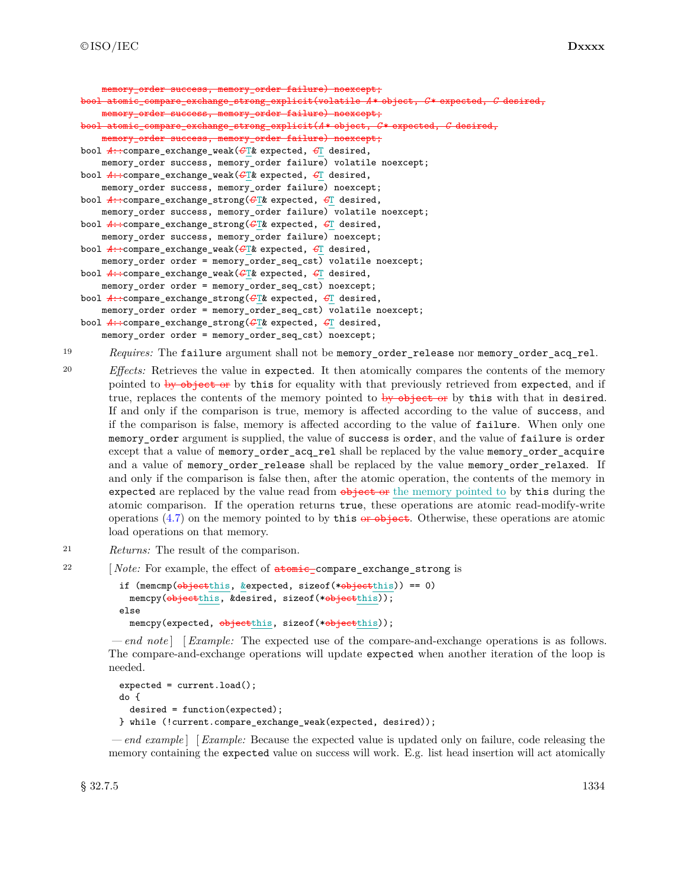```
memory order success, memory order failure) noexcept;
bool atomic_compare_exchange_strong_explicit(volatile A * object, C * expected, C desired,
    memory_order success, memory_order failure) noexcept;
bool atomic_compare_exchange_strong_explicit(A * object, C * expected, C desired,
   memory_order success, memory_order failure) noexcept;
bool A::compare_exchange_weak(C T& expected, CT desired,
   memory_order success, memory_order failure) volatile noexcept;
bool A::compare_exchange_weak(C T& expected, CT desired,
   memory_order success, memory_order failure) noexcept;
bool A::compare_exchange_strong(C T& expected, CT desired,
    memory_order success, memory_order failure) volatile noexcept;
bool A::compare_exchange_strong(C T& expected, CT desired,
    memory_order success, memory_order failure) noexcept;
bool A::compare_exchange_weak(C T& expected, CT desired,
    memory_order order = memory_order_seq_cst) volatile noexcept;
bool A::compare_exchange_weak(C T& expected, CT desired,
    memory_order order = memory_order_seq_cst) noexcept;
bool A::compare_exchange_strong(C T& expected, CT desired,
    memory_order order = memory_order_seq_cst) volatile noexcept;
bool A::compare_exchange_strong(C T& expected, CT desired,
    memory_order order = memory_order_seq_cst) noexcept;
```
- <sup>19</sup> *Requires:* The failure argument shall not be memory\_order\_release nor memory\_order\_acq\_rel.
- <sup>20</sup> *Effects:* Retrieves the value in expected. It then atomically compares the contents of the memory pointed to by object or by this for equality with that previously retrieved from expected, and if true, replaces the contents of the memory pointed to by object or by this with that in desired. If and only if the comparison is true, memory is affected according to the value of success, and if the comparison is false, memory is affected according to the value of failure. When only one memory\_order argument is supplied, the value of success is order, and the value of failure is order except that a value of memory\_order\_acq\_rel shall be replaced by the value memory\_order\_acquire and a value of memory order release shall be replaced by the value memory order relaxed. If and only if the comparison is false then, after the atomic operation, the contents of the memory in expected are replaced by the value read from  $\phi$ -bigget or the memory pointed to by this during the atomic comparison. If the operation returns true, these operations are atomic read-modify-write operations  $(4.7)$  on the memory pointed to by this or object. Otherwise, these operations are atomic load operations on that memory.
- <sup>21</sup> *Returns:* The result of the comparison.
- <sup>22</sup> [*Note:* For example, the effect of **atomic\_compare\_exchange\_strong** is

```
if (memcmp(objectthis, &expected, sizeof(*objectthis)) == 0)
  memcpy(objectthis, &desired, sizeof(*objectthis));
else
  memcpy(expected, \frac{objectthis}{objectthis}, sizeof(*objectthis));
```
*— end note* ] [*Example:* The expected use of the compare-and-exchange operations is as follows. The compare-and-exchange operations will update expected when another iteration of the loop is needed.

```
expected = current.load();
do {
 desired = function(expected);
} while (!current.compare_exchange_weak(expected, desired));
```
*— end example* ] [*Example:* Because the expected value is updated only on failure, code releasing the memory containing the expected value on success will work. E.g. list head insertion will act atomically

 $\S~32.7.5$  1334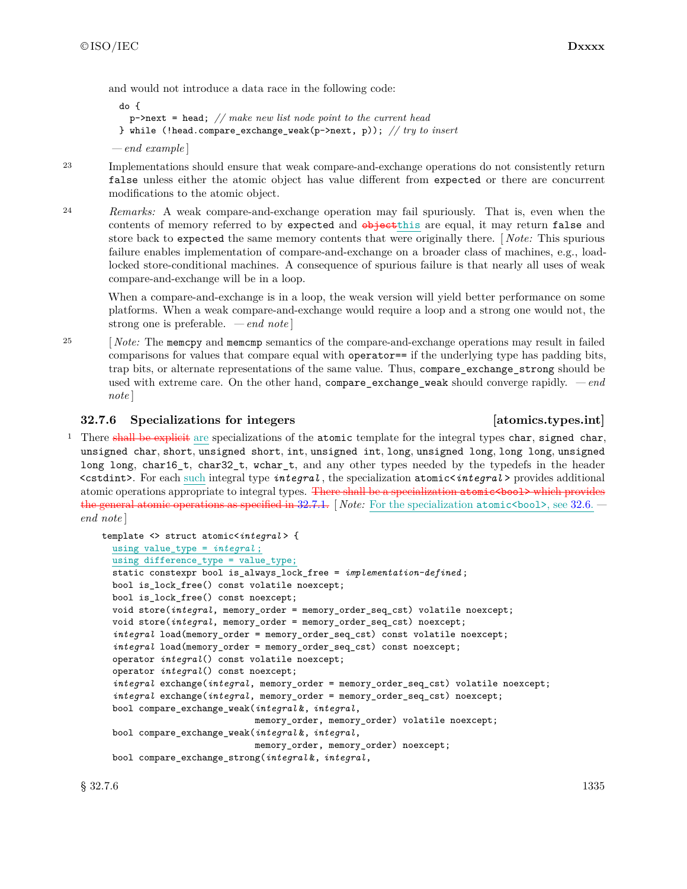and would not introduce a data race in the following code:

```
do {
   p->next = head; // make new list node point to the current head
 } while (!head.compare_exchange_weak(p->next, p)); // try to insert
— end example ]
```
23 Implementations should ensure that weak compare-and-exchange operations do not consistently return false unless either the atomic object has value different from expected or there are concurrent modifications to the atomic object.

<sup>24</sup> *Remarks:* A weak compare-and-exchange operation may fail spuriously. That is, even when the contents of memory referred to by expected and  $\theta$ -bjectthis are equal, it may return false and store back to expected the same memory contents that were originally there. [ *Note:* This spurious failure enables implementation of compare-and-exchange on a broader class of machines, e.g., loadlocked store-conditional machines. A consequence of spurious failure is that nearly all uses of weak compare-and-exchange will be in a loop.

When a compare-and-exchange is in a loop, the weak version will yield better performance on some platforms. When a weak compare-and-exchange would require a loop and a strong one would not, the strong one is preferable. *— end note* ]

<sup>25</sup> [*Note:* The memcpy and memcmp semantics of the compare-and-exchange operations may result in failed comparisons for values that compare equal with operator== if the underlying type has padding bits, trap bits, or alternate representations of the same value. Thus, compare\_exchange\_strong should be used with extreme care. On the other hand, compare\_exchange\_weak should converge rapidly. *— end note* ]

## **32.7.6 Specializations for integers [atomics.types.int]**

<sup>1</sup> There shall be explicit are specializations of the atomic template for the integral types char, signed char, unsigned char, short, unsigned short, int, unsigned int, long, unsigned long, long long, unsigned long long, char16 t, char32 t, wchar t, and any other types needed by the typedefs in the header <cstdint>. For each such integral type *integral* , the specialization atomic<*integral* > provides additional atomic operations appropriate to integral types. There shall be a specialization atomic spools which provides the general atomic operations as specified in 32.7.1. [ *Note:* For the specialization atomic<bool>, see 32.6.  *end note* ]

```
template <> struct atomic<integral > {
 using value_type = integral ;
  using difference_type = value_type;
  static constexpr bool is_always_lock_free = implementation-defined ;
  bool is_lock_free() const volatile noexcept;
 bool is_lock_free() const noexcept;
  void store(integral, memory_order = memory_order_seq_cst) volatile noexcept;
  void store(integral, memory_order = memory_order_seq_cst) noexcept;
  integral load(memory_order = memory_order_seq_cst) const volatile noexcept;
  integral load(memory_order = memory_order_seq_cst) const noexcept;
  operator integral() const volatile noexcept;
  operator integral() const noexcept;
  integral exchange(integral, memory_order = memory_order_seq_cst) volatile noexcept;
  integral exchange(integral, memory_order = memory_order_seq_cst) noexcept;
 bool compare_exchange_weak(integral &, integral,
                             memory_order, memory_order) volatile noexcept;
 bool compare_exchange_weak(integral &, integral,
                             memory_order, memory_order) noexcept;
 bool compare_exchange_strong(integral &, integral,
```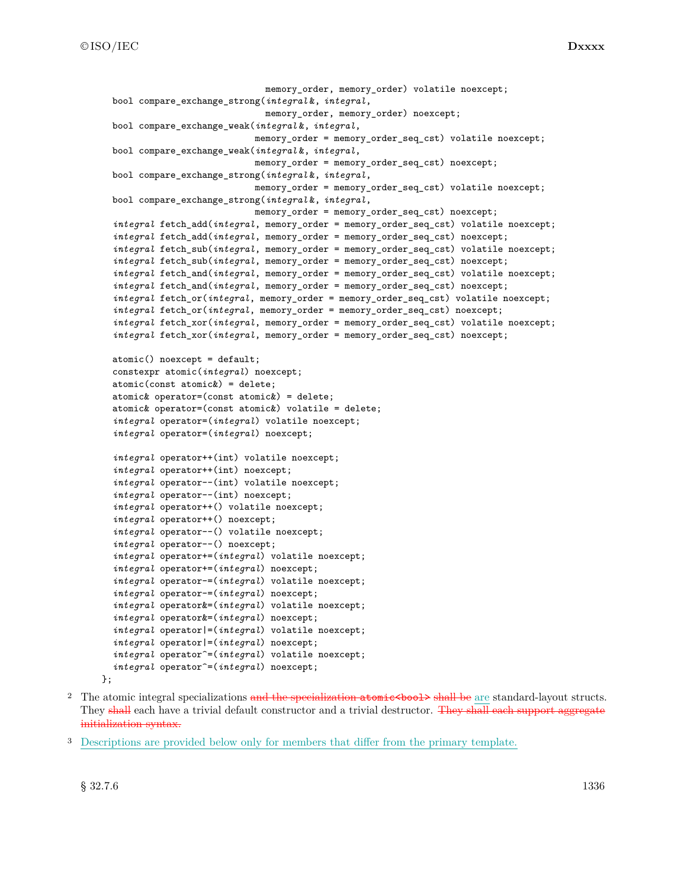```
memory order, memory order) volatile noexcept;
bool compare_exchange_strong(integral &, integral,
                             memory_order, memory_order) noexcept;
bool compare_exchange_weak(integral &, integral,
                           memory_order = memory_order_seq_cst) volatile noexcept;
bool compare_exchange_weak(integral &, integral,
                           memory_order = memory_order_seq_cst) noexcept;
bool compare_exchange_strong(integral &, integral,
                           memory_order = memory_order_seq_cst) volatile noexcept;
bool compare_exchange_strong(integral &, integral,
                           memory_order = memory_order_seq_cst) noexcept;
integral fetch_add(integral, memory_order = memory_order_seq_cst) volatile noexcept;
integral fetch_add(integral, memory_order = memory_order_seq_cst) noexcept;
integral fetch_sub(integral, memory_order = memory_order_seq_cst) volatile noexcept;
integral fetch_sub(integral, memory_order = memory_order_seq_cst) noexcept;
integral fetch_and(integral, memory_order = memory_order_seq_cst) volatile noexcept;
integral fetch_and(integral, memory_order = memory_order_seq_cst) noexcept;
integral fetch_or(integral, memory_order = memory_order_seq_cst) volatile noexcept;
integral fetch_or(integral, memory_order = memory_order_seq_cst) noexcept;
integral fetch_xor(integral, memory_order = memory_order_seq_cst) volatile noexcept;
integral fetch_xor(integral, memory_order = memory_order_seq_cst) noexcept;
atomic() noexcept = default;
constexpr atomic(integral) noexcept;
atomic(const atomic&) = delete;
atomic& operator=(const atomic&) = delete;
atomic& operator=(const atomic&) volatile = delete;
integral operator=(integral) volatile noexcept;
integral operator=(integral) noexcept;
integral operator++(int) volatile noexcept;
integral operator++(int) noexcept;
integral operator--(int) volatile noexcept;
integral operator--(int) noexcept;
integral operator++() volatile noexcept;
integral operator++() noexcept;
integral operator--() volatile noexcept;
integral operator--() noexcept;
integral operator+=(integral) volatile noexcept;
integral operator+=(integral) noexcept;
integral operator-=(integral) volatile noexcept;
integral operator-=(integral) noexcept;
integral operator&=(integral) volatile noexcept;
integral operator&=(integral) noexcept;
integral operator|=(integral) volatile noexcept;
integral operator|=(integral) noexcept;
integral operator^=(integral) volatile noexcept;
integral operator^=(integral) noexcept;
```

```
\ddot{\ }:
```
- <sup>2</sup> The atomic integral specializations and the specialization atomic shood > shall be are standard-layout structs. They shall each have a trivial default constructor and a trivial destructor. They shall each support aggregate initialization syntax.
- <sup>3</sup> Descriptions are provided below only for members that differ from the primary template.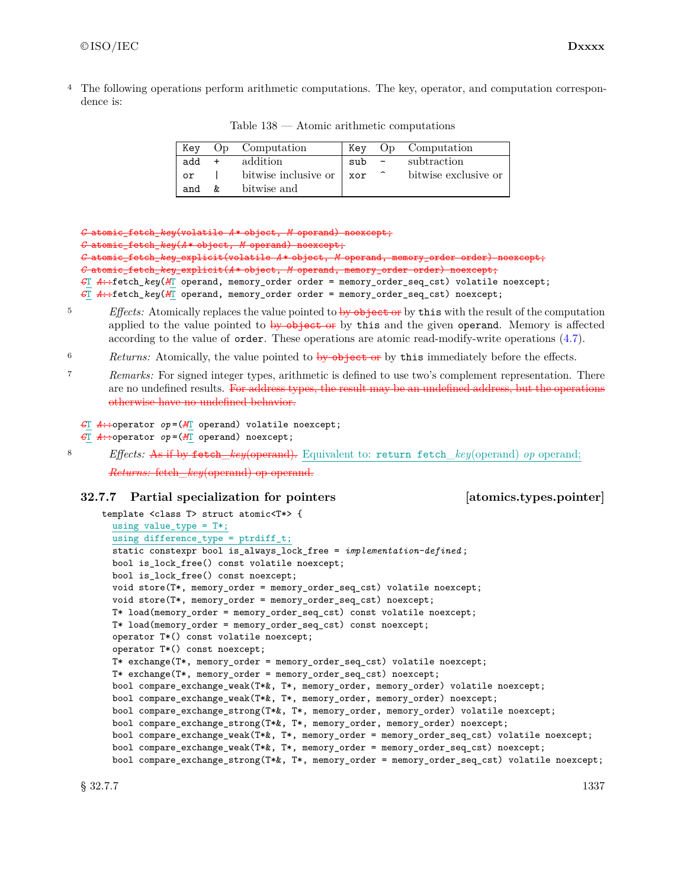4 The following operations perform arithmetic computations. The key, operator, and computation correspondence is:

| Kev |    | Op Computation       | Kev |                     | Op Computation       |
|-----|----|----------------------|-----|---------------------|----------------------|
| add |    | addition             | sub |                     | subtraction          |
| or  |    | bitwise inclusive or | xor | $\hat{\phantom{a}}$ | bitwise exclusive or |
| and | &. | bitwise and          |     |                     |                      |

Table 138 — Atomic arithmetic computations

*C* atomic\_fetch\_*key*(volatile *A* \* object, *M* operand) noexcept; *C* atomic\_fetch\_*key*(*A* \* object, *M* operand) noexcept; *C* atomic\_fetch\_*key*\_explicit(volatile *A* \* object, *M* operand, memory\_order order) noexcept; *C* atomic\_fetch\_*key*\_explicit(*A* \* object, *M* operand, memory\_order order) noexcept; *C*T *A*::fetch\_*key*(*M*T operand, memory\_order order = memory\_order\_seq\_cst) volatile noexcept; *C*T *A*::fetch\_*key*(*M*T operand, memory\_order order = memory\_order\_seq\_cst) noexcept;

- <sup>5</sup> *Effects:* Atomically replaces the value pointed to by object or by this with the result of the computation applied to the value pointed to  $\frac{1}{2}$  by  $\frac{1}{2}$  by this and the given operand. Memory is affected according to the value of order. These operations are atomic read-modify-write operations (4.7).
- <sup>6</sup> *Returns:* Atomically, the value pointed to by object or by this immediately before the effects.
- <sup>7</sup> *Remarks:* For signed integer types, arithmetic is defined to use two's complement representation. There are no undefined results. For address types, the result may be an undefined address, but the operations otherwise have no undefined behavior.
	- *C*T *A*::operator *op* =(*M*T operand) volatile noexcept;
	- *C*T *A*::operator *op* =(*M*T operand) noexcept;
- <sup>8</sup> *Effects:* As if by fetch\_*key*(operand). Equivalent to: return fetch\_*key*(operand) *op* operand; *Returns:* fetch *key*(operand) op operand.

### **32.7.7 Partial specialization for pointers [atomics.types.pointer]**

```
template <class T> struct atomic<T*> {
  using value_type = T*;
  using difference_type = ptrdiff_t;
  static constexpr bool is_always_lock_free = implementation-defined ;
 bool is_lock_free() const volatile noexcept;
 bool is_lock_free() const noexcept;
 void store(T*, memory_order = memory_order_seq_cst) volatile noexcept;
 void store(T*, memory_order = memory_order_seq_cst) noexcept;
 T* load(memory_order = memory_order_seq_cst) const volatile noexcept;
 T* load(memory_order = memory_order_seq_cst) const noexcept;
 operator T*() const volatile noexcept;
 operator T*() const noexcept;
 T* exchange(T*, memory_order = memory_order_seq_cst) volatile noexcept;
 T* exchange(T*, memory_order = memory_order_seq_cst) noexcept;
 bool compare_exchange_weak(T*&, T*, memory_order, memory_order) volatile noexcept;
 bool compare_exchange_weak(T*&, T*, memory_order, memory_order) noexcept;
  bool compare_exchange_strong(T*&, T*, memory_order, memory_order) volatile noexcept;
  bool compare_exchange_strong(T*&, T*, memory_order, memory_order) noexcept;
 bool compare_exchange_weak(T*&, T*, memory_order = memory_order_seq_cst) volatile noexcept;
 bool compare_exchange_weak(T*&, T*, memory_order = memory_order_seq_cst) noexcept;
 bool compare_exchange_strong(T*&, T*, memory_order = memory_order_seq_cst) volatile noexcept;
```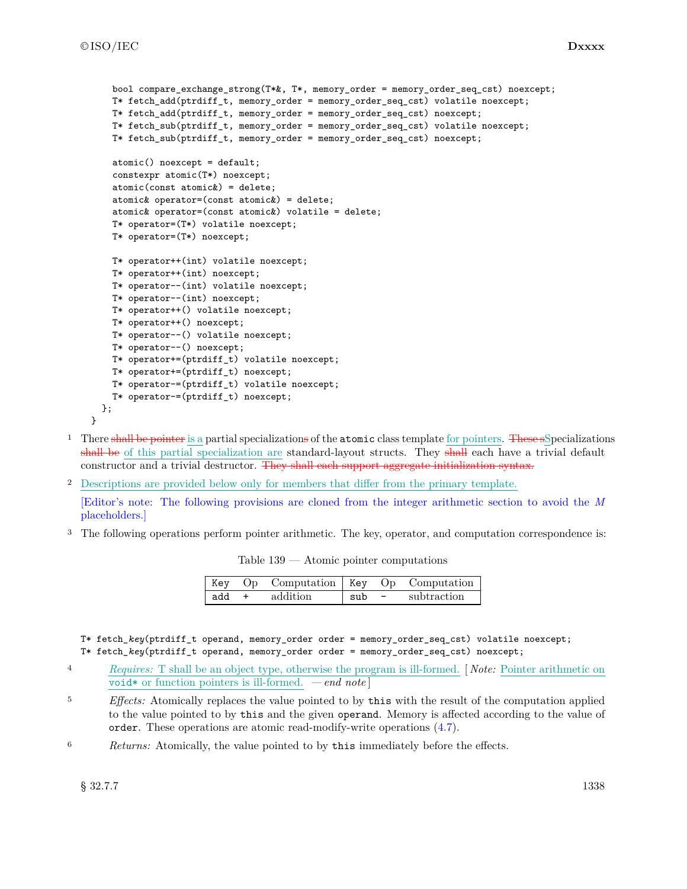```
bool compare exchange strong(T*&, T*, memory order = memory order seq cst) noexcept;
 T* fetch_add(ptrdiff_t, memory_order = memory_order_seq_cst) volatile noexcept;
 T* fetch_add(ptrdiff_t, memory_order = memory_order_seq_cst) noexcept;
 T* fetch_sub(ptrdiff_t, memory_order = memory_order_seq_cst) volatile noexcept;
 T* fetch_sub(ptrdiff_t, memory_order = memory_order_seq_cst) noexcept;
 atomic() noexcept = default;
 constexpr atomic(T*) noexcept;
 atomic(const atomic&) = delete;
 atomic& operator=(const atomic&) = delete;
 atomic& operator=(const atomic&) volatile = delete;
 T* operator=(T*) volatile noexcept;
 T* operator=(T*) noexcept;
 T* operator++(int) volatile noexcept;
 T* operator++(int) noexcept;
 T* operator--(int) volatile noexcept;
 T* operator--(int) noexcept;
 T* operator++() volatile noexcept;
 T* operator++() noexcept;
 T* operator--() volatile noexcept;
 T* operator--() noexcept;
 T* operator+=(ptrdiff_t) volatile noexcept;
 T* operator+=(ptrdiff_t) noexcept;
 T* operator-=(ptrdiff_t) volatile noexcept;
 T* operator-=(ptrdiff_t) noexcept;
};
```
- <sup>1</sup> There shall be pointer is a partial specializations of the atomic class template for pointers. These sSpecializations shall be of this partial specialization are standard-layout structs. They shall each have a trivial default constructor and a trivial destructor. They shall each support aggregate initialization syntax.
- <sup>2</sup> Descriptions are provided below only for members that differ from the primary template.

[Editor's note: The following provisions are cloned from the integer arithmetic section to avoid the *M* placeholders.]

<sup>3</sup> The following operations perform pointer arithmetic. The key, operator, and computation correspondence is:

Table 139 — Atomic pointer computations

|       | Key Op Computation   Key Op Computation |          |             |
|-------|-----------------------------------------|----------|-------------|
| add + | addition                                | . sub  – | subtraction |

T\* fetch\_*key*(ptrdiff\_t operand, memory\_order order = memory\_order\_seq\_cst) volatile noexcept; T\* fetch\_*key*(ptrdiff\_t operand, memory\_order order = memory\_order\_seq\_cst) noexcept;

- <sup>4</sup> *Requires:* T shall be an object type, otherwise the program is ill-formed. [ *Note:* Pointer arithmetic on void\* or function pointers is ill-formed. *— end note* ]
- <sup>5</sup> *Effects:* Atomically replaces the value pointed to by this with the result of the computation applied to the value pointed to by this and the given operand. Memory is affected according to the value of order. These operations are atomic read-modify-write operations (4.7).
- <sup>6</sup> *Returns:* Atomically, the value pointed to by this immediately before the effects.

}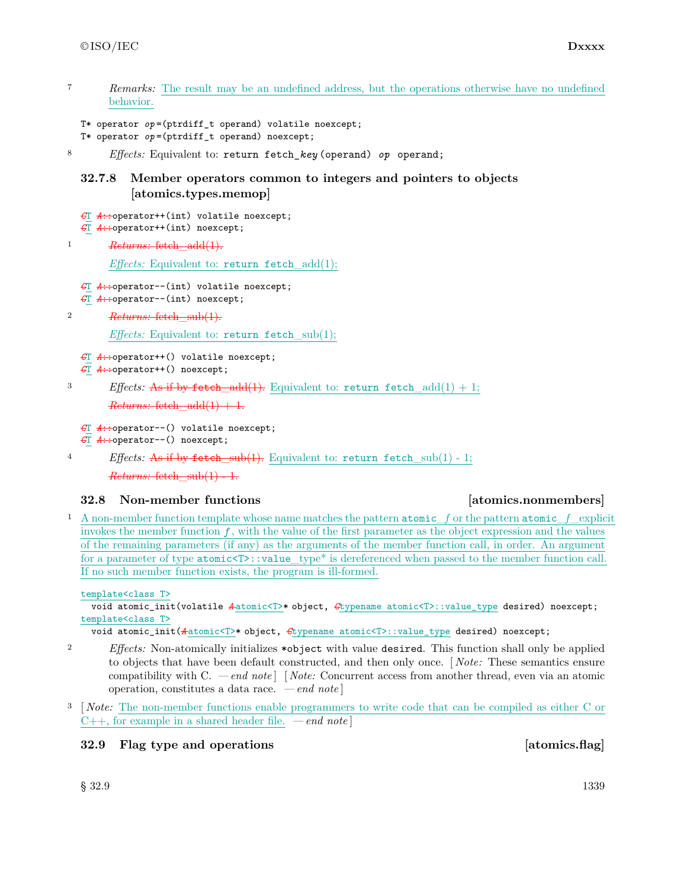<sup>7</sup> *Remarks:* The result may be an undefined address, but the operations otherwise have no undefined behavior.

```
T* operator op=(ptrdiff_t operand) volatile noexcept;
```

```
T* operator op =(ptrdiff_t operand) noexcept;
```
<sup>8</sup> *Effects:* Equivalent to: return fetch\_*key* (operand) *op* operand;

## **32.7.8 Member operators common to integers and pointers to objects [atomics.types.memop]**

```
CT A::operator++(int) volatile noexcept;
CT A::operator++(int) noexcept;
```
<sup>1</sup> *Returns:* fetch\_add(1).

*Effects:* Equivalent to: return fetch\_add(1);

- *C*T *A*::operator--(int) volatile noexcept;
- *C*T *A*::operator--(int) noexcept;

```
2 Returns: fetch_sub(1).
```
*Effects:* Equivalent to: return fetch sub(1);

```
CT A::operator++() volatile noexcept;
```

```
CT A::operator++() noexcept;
```

```
<sup>3</sup> Effects: As if by fetch_add(1). Equivalent to: return fetch_add(1) + 1;
        Returns: fetch add(1) + 1.
```

```
CT A::operator--() volatile noexcept;
CT A::operator--() noexcept;
```

```
4 Effects: As if by fetch_sub(1). Equivalent to: return fetch_sub(1) - 1;
```
 $Returns: fetch sub(1) - 1.$ 

# **32.8 Non-member functions [atomics.nonmembers]**

<sup>1</sup> A non-member function template whose name matches the pattern atomic\_*f* or the pattern atomic\_*f* \_explicit invokes the member function  $f$ , with the value of the first parameter as the object expression and the values of the remaining parameters (if any) as the arguments of the member function call, in order. An argument for a parameter of type  $atomic \< T$ : value type\* is dereferenced when passed to the member function call. If no such member function exists, the program is ill-formed.

template<class T>

void atomic\_init(volatile  $A$ atomic<T>\* object,  $G$ typename atomic<T>::value\_type desired) noexcept; template<class T>

void atomic\_init(*A* atomic<T>\* object, *C*typename atomic<T>::value\_type desired) noexcept;

- <sup>2</sup> *Effects:* Non-atomically initializes \*object with value desired. This function shall only be applied to objects that have been default constructed, and then only once. [ *Note:* These semantics ensure compatibility with C. *— end note* ] [ *Note:* Concurrent access from another thread, even via an atomic operation, constitutes a data race. *— end note* ]
- <sup>3</sup> [ *Note:* The non-member functions enable programmers to write code that can be compiled as either C or C++, for example in a shared header file. *— end note* ]

# **32.9 Flag type and operations [atomics.flag]**

 $\S~32.9$  1339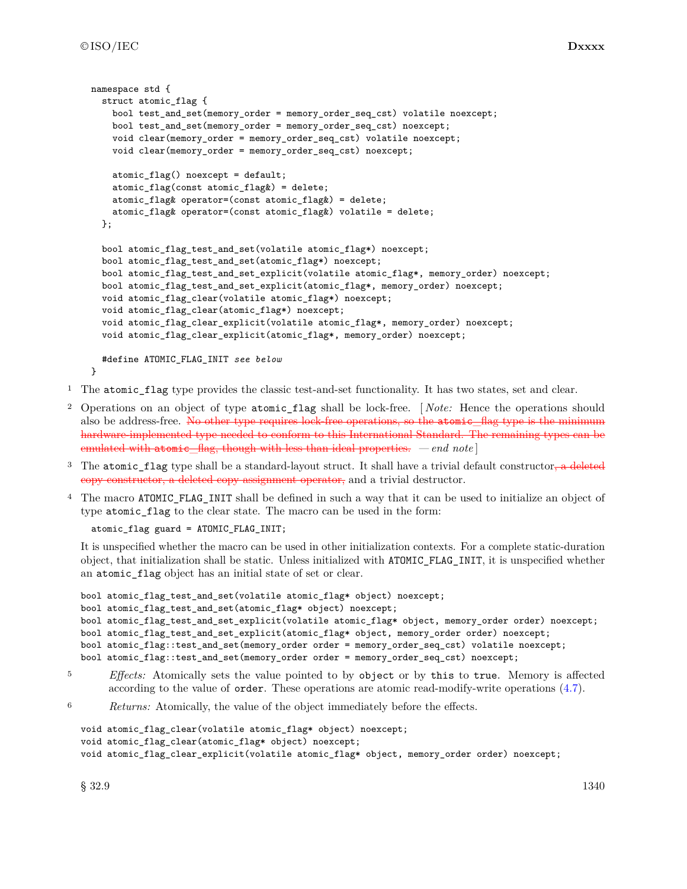```
namespace std {
  struct atomic_flag {
    bool test_and_set(memory_order = memory_order_seq_cst) volatile noexcept;
    bool test_and_set(memory_order = memory_order_seq_cst) noexcept;
    void clear(memory_order = memory_order_seq_cst) volatile noexcept;
    void clear(memory_order = memory_order_seq_cst) noexcept;
    atomic_flag() noexcept = default;
    atomic_flag(const atomic_flag&) = delete;
    atomic_flag& operator=(const atomic_flag&) = delete;
    atomic_flag& operator=(const atomic_flag&) volatile = delete;
  };
  bool atomic_flag_test_and_set(volatile atomic_flag*) noexcept;
  bool atomic_flag_test_and_set(atomic_flag*) noexcept;
  bool atomic_flag_test_and_set_explicit(volatile atomic_flag*, memory_order) noexcept;
  bool atomic_flag_test_and_set_explicit(atomic_flag*, memory_order) noexcept;
  void atomic_flag_clear(volatile atomic_flag*) noexcept;
 void atomic_flag_clear(atomic_flag*) noexcept;
  void atomic flag_clear_explicit(volatile atomic_flag*, memory_order) noexcept;
  void atomic_flag_clear_explicit(atomic_flag*, memory_order) noexcept;
  #define ATOMIC_FLAG_INIT see below
}
```

```
1 The atomic_flag type provides the classic test-and-set functionality. It has two states, set and clear.
```
- <sup>2</sup> Operations on an object of type atomic\_flag shall be lock-free. [ *Note:* Hence the operations should also be address-free. No other type requires lock-free operations, so the atomic\_flag type is the minimum hardware-implemented type needed to conform to this International Standard. The remaining types can be emulated with atomic\_flag, though with less than ideal properties. *— end note* ]
- <sup>3</sup> The atomic\_flag type shall be a standard-layout struct. It shall have a trivial default constructor, a deleted copy constructor, a deleted copy assignment operator, and a trivial destructor.
- <sup>4</sup> The macro ATOMIC\_FLAG\_INIT shall be defined in such a way that it can be used to initialize an object of type atomic\_flag to the clear state. The macro can be used in the form:

```
atomic_flag guard = ATOMIC_FLAG_INIT;
```
It is unspecified whether the macro can be used in other initialization contexts. For a complete static-duration object, that initialization shall be static. Unless initialized with ATOMIC\_FLAG\_INIT, it is unspecified whether an atomic\_flag object has an initial state of set or clear.

```
bool atomic_flag_test_and_set(volatile atomic_flag* object) noexcept;
bool atomic_flag_test_and_set(atomic_flag* object) noexcept;
bool atomic_flag_test_and_set_explicit(volatile atomic_flag* object, memory_order order) noexcept;
bool atomic_flag_test_and_set_explicit(atomic_flag* object, memory_order order) noexcept;
bool atomic_flag::test_and_set(memory_order order = memory_order_seq_cst) volatile noexcept;
bool atomic_flag::test_and_set(memory_order order = memory_order_seq_cst) noexcept;
```
- <sup>5</sup> *Effects:* Atomically sets the value pointed to by object or by this to true. Memory is affected according to the value of order. These operations are atomic read-modify-write operations (4.7).
- <sup>6</sup> *Returns:* Atomically, the value of the object immediately before the effects.

```
void atomic_flag_clear(volatile atomic_flag* object) noexcept;
void atomic_flag_clear(atomic_flag* object) noexcept;
void atomic_flag_clear_explicit(volatile atomic_flag* object, memory_order order) noexcept;
```